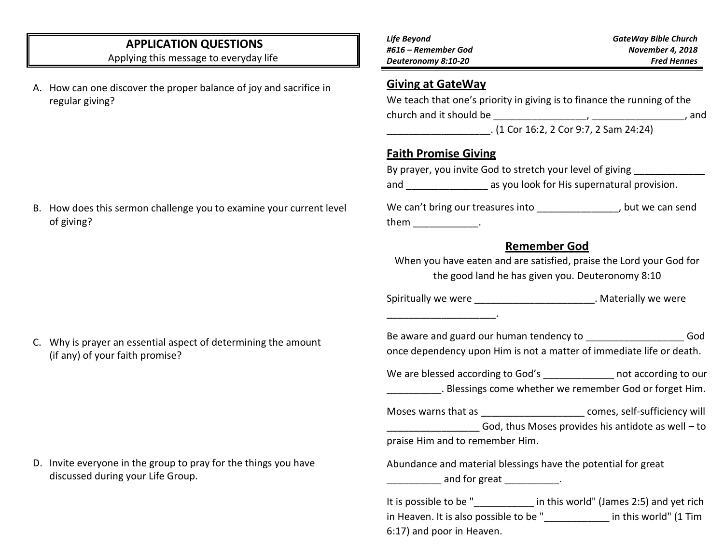# **APPLICATION QUESTIONS**

Applying this message to everyday life

A. How can one discover the proper balance of joy and sacrifice in regular giving?

| Life Beyond         | <b>GateWay Bible Church</b> |
|---------------------|-----------------------------|
| #616 – Remember God | <b>November 4, 2018</b>     |
| Deuteronomy 8:10-20 | <b>Fred Hennes</b>          |

### **Giving at GateWay**

| We teach that one's priority in giving is to finance the running of the |       |
|-------------------------------------------------------------------------|-------|
| church and it should be                                                 | . and |
| $(1$ Cor 16:2, 2 Cor 9:7, 2 Sam 24:24)                                  |       |

### **Faith Promise Giving**

\_\_\_\_\_\_\_\_\_\_\_\_\_\_\_\_\_\_\_\_.

|                                   | By prayer, you invite God to stretch your level of giving |                 |
|-----------------------------------|-----------------------------------------------------------|-----------------|
| and                               | as you look for His supernatural provision.               |                 |
| We can't bring our treasures into |                                                           | hut wo can cond |

We can't bring our treasures into \_\_\_\_\_\_\_\_\_\_\_\_\_\_\_\_\_\_, but we can send them them the  $\sim$ 

### **Remember God**

When you have eaten and are satisfied, praise the Lord your God for the good land he has given you. Deuteronomy 8:10

Spiritually we were **EXACTE SERVING SERVING SERVING WE WELL** SPIRITUALLY MATERIALLY WE WELL

Be aware and guard our human tendency to **Example 20 God** once dependency upon Him is not a matter of immediate life or death.

We are blessed according to God's \_\_\_\_\_\_\_\_\_\_\_\_\_\_ not according to our . Blessings come whether we remember God or forget Him.

Moses warns that as  $\Box$  comes, self-sufficiency will

God, thus Moses provides his antidote as well – to

praise Him and to remember Him.

Abundance and material blessings have the potential for great and for great the contact of the same contact the same of the same contact of the same contact of the same contact of the same contact of the same contact of the same contact of the same contact of the same contact of the

It is possible to be " The sin this world" (James 2:5) and yet rich in Heaven. It is also possible to be " in this world" (1 Tim 6:17) and poor in Heaven.

B. How does this sermon challenge you to examine your current level of giving?

C. Why is prayer an essential aspect of determining the amount (if any) of your faith promise?

D. Invite everyone in the group to pray for the things you have discussed during your Life Group.